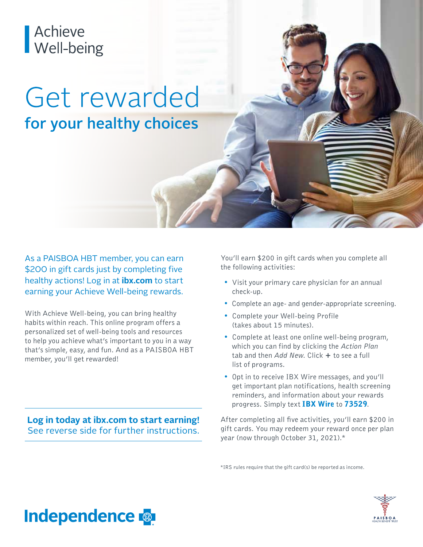# Achieve<br>Well-being

## Get rewarded for your healthy choices

As a PAISBOA HBT member, you can earn \$200 in gift cards just by completing five healthy actions! Log in at **ibx.com** to start earning your Achieve Well-being rewards.

With Achieve Well-being, you can bring healthy habits within reach. This online program offers a personalized set of well-being tools and resources to help you achieve what's important to you in a way that's simple, easy, and fun. And as a PAISBOA HBT member, you'll get rewarded!

**Log in today at ibx.com to start earning!** See reverse side for further instructions.

You'll earn \$200 in gift cards when you complete all the following activities:

- Visit your primary care physician for an annual check-up.
- Complete an age- and gender-appropriate screening.
- Complete your Well-being Profile (takes about 15 minutes).
- Complete at least one online well-being program, which you can find by clicking the *Action Plan* tab and then *Add New*. Click + to see a full list of programs.
- Opt in to receive IBX Wire messages, and you'll get important plan notifications, health screening reminders, and information about your rewards progress. Simply text IBX Wire to 73529.

After completing all five activities, you'll earn \$200 in gift cards. You may redeem your reward once per plan year (now through October 31, 2021).\*

\*IRS rules require that the gift card(s) be reported as income.



### **Independence**